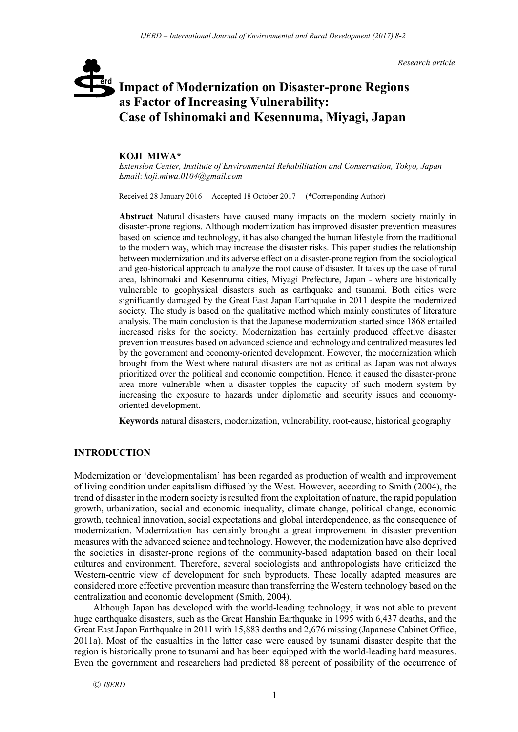*Research article*

# **Impact of Modernization on Disaster-prone Regions**  erd **as Factor of Increasing Vulnerability: Case of Ishinomaki and Kesennuma, Miyagi, Japan**

#### **KOJI MIWA\***

*Extension Center, Institute of Environmental Rehabilitation and Conservation, Tokyo, Japan Email*: *koji.miwa.0104@gmail.com*

Received 28 January 2016 Accepted 18 October 2017 (\*Corresponding Author)

**Abstract** Natural disasters have caused many impacts on the modern society mainly in disaster-prone regions. Although modernization has improved disaster prevention measures based on science and technology, it has also changed the human lifestyle from the traditional to the modern way, which may increase the disaster risks. This paper studies the relationship between modernization and its adverse effect on a disaster-prone region from the sociological and geo-historical approach to analyze the root cause of disaster. It takes up the case of rural area, Ishinomaki and Kesennuma cities, Miyagi Prefecture, Japan - where are historically vulnerable to geophysical disasters such as earthquake and tsunami. Both cities were significantly damaged by the Great East Japan Earthquake in 2011 despite the modernized society. The study is based on the qualitative method which mainly constitutes of literature analysis. The main conclusion is that the Japanese modernization started since 1868 entailed increased risks for the society. Modernization has certainly produced effective disaster prevention measures based on advanced science and technology and centralized measures led by the government and economy-oriented development. However, the modernization which brought from the West where natural disasters are not as critical as Japan was not always prioritized over the political and economic competition. Hence, it caused the disaster-prone area more vulnerable when a disaster topples the capacity of such modern system by increasing the exposure to hazards under diplomatic and security issues and economyoriented development.

**Keywords** natural disasters, modernization, vulnerability, root-cause, historical geography

## **INTRODUCTION**

Modernization or 'developmentalism' has been regarded as production of wealth and improvement of living condition under capitalism diffused by the West. However, according to Smith (2004), the trend of disaster in the modern society is resulted from the exploitation of nature, the rapid population growth, urbanization, social and economic inequality, climate change, political change, economic growth, technical innovation, social expectations and global interdependence, as the consequence of modernization. Modernization has certainly brought a great improvement in disaster prevention measures with the advanced science and technology. However, the modernization have also deprived the societies in disaster-prone regions of the community-based adaptation based on their local cultures and environment. Therefore, several sociologists and anthropologists have criticized the Western-centric view of development for such byproducts. These locally adapted measures are considered more effective prevention measure than transferring the Western technology based on the centralization and economic development (Smith, 2004).

Although Japan has developed with the world-leading technology, it was not able to prevent huge earthquake disasters, such as the Great Hanshin Earthquake in 1995 with 6,437 deaths, and the Great East Japan Earthquake in 2011 with 15,883 deaths and 2,676 missing (Japanese Cabinet Office, 2011a). Most of the casualties in the latter case were caused by tsunami disaster despite that the region is historically prone to tsunami and has been equipped with the world-leading hard measures. Even the government and researchers had predicted 88 percent of possibility of the occurrence of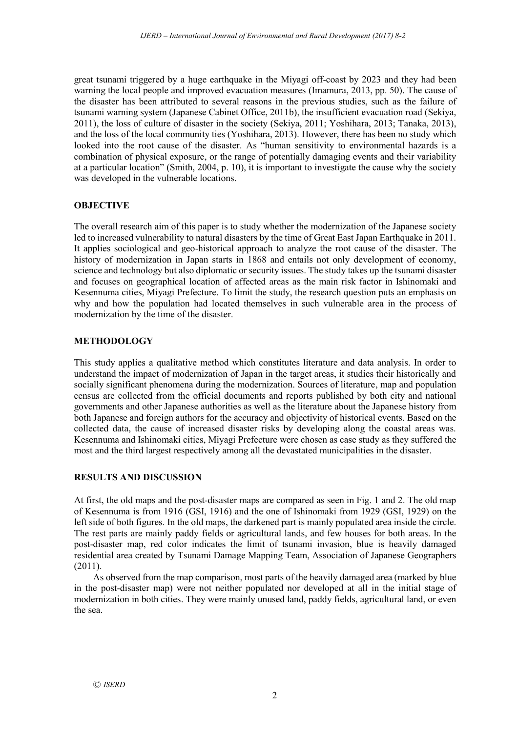great tsunami triggered by a huge earthquake in the Miyagi off-coast by 2023 and they had been warning the local people and improved evacuation measures (Imamura, 2013, pp. 50). The cause of the disaster has been attributed to several reasons in the previous studies, such as the failure of tsunami warning system (Japanese Cabinet Office, 2011b), the insufficient evacuation road (Sekiya, 2011), the loss of culture of disaster in the society (Sekiya, 2011; Yoshihara, 2013; Tanaka, 2013), and the loss of the local community ties (Yoshihara, 2013). However, there has been no study which looked into the root cause of the disaster. As "human sensitivity to environmental hazards is a combination of physical exposure, or the range of potentially damaging events and their variability at a particular location" (Smith, 2004, p. 10), it is important to investigate the cause why the society was developed in the vulnerable locations.

# **OBJECTIVE**

The overall research aim of this paper is to study whether the modernization of the Japanese society led to increased vulnerability to natural disasters by the time of Great East Japan Earthquake in 2011. It applies sociological and geo-historical approach to analyze the root cause of the disaster. The history of modernization in Japan starts in 1868 and entails not only development of economy, science and technology but also diplomatic or security issues. The study takes up the tsunami disaster and focuses on geographical location of affected areas as the main risk factor in Ishinomaki and Kesennuma cities, Miyagi Prefecture. To limit the study, the research question puts an emphasis on why and how the population had located themselves in such vulnerable area in the process of modernization by the time of the disaster.

# **METHODOLOGY**

This study applies a qualitative method which constitutes literature and data analysis. In order to understand the impact of modernization of Japan in the target areas, it studies their historically and socially significant phenomena during the modernization. Sources of literature, map and population census are collected from the official documents and reports published by both city and national governments and other Japanese authorities as well as the literature about the Japanese history from both Japanese and foreign authors for the accuracy and objectivity of historical events. Based on the collected data, the cause of increased disaster risks by developing along the coastal areas was. Kesennuma and Ishinomaki cities, Miyagi Prefecture were chosen as case study as they suffered the most and the third largest respectively among all the devastated municipalities in the disaster.

# **RESULTS AND DISCUSSION**

At first, the old maps and the post-disaster maps are compared as seen in Fig. 1 and 2. The old map of Kesennuma is from 1916 (GSI, 1916) and the one of Ishinomaki from 1929 (GSI, 1929) on the left side of both figures. In the old maps, the darkened part is mainly populated area inside the circle. The rest parts are mainly paddy fields or agricultural lands, and few houses for both areas. In the post-disaster map, red color indicates the limit of tsunami invasion, blue is heavily damaged residential area created by Tsunami Damage Mapping Team, Association of Japanese Geographers (2011).

As observed from the map comparison, most parts of the heavily damaged area (marked by blue in the post-disaster map) were not neither populated nor developed at all in the initial stage of modernization in both cities. They were mainly unused land, paddy fields, agricultural land, or even the sea.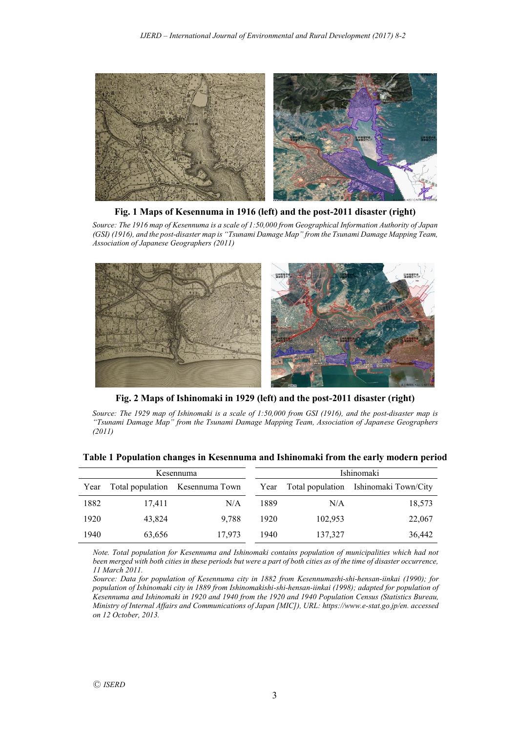

**Fig. 1 Maps of Kesennuma in 1916 (left) and the post-2011 disaster (right)**

*Source: The 1916 map of Kesennuma is a scale of 1:50,000 from Geographical Information Authority of Japan (GSI) (1916), and the post-disaster map is "Tsunami Damage Map" from the Tsunami Damage Mapping Team, Association of Japanese Geographers (2011)*



**Fig. 2 Maps of Ishinomaki in 1929 (left) and the post-2011 disaster (right)**

*Source: The 1929 map of Ishinomaki is a scale of 1:50,000 from GSI (1916), and the post-disaster map is "Tsunami Damage Map" from the Tsunami Damage Mapping Team, Association of Japanese Geographers (2011)*

| Kesennuma |        |                                 | Ishinomaki |         |                                            |  |
|-----------|--------|---------------------------------|------------|---------|--------------------------------------------|--|
| Year      |        | Total population Kesennuma Town |            |         | Year Total population Ishinomaki Town/City |  |
| 1882      | 17,411 | N/A                             | 1889       | N/A     | 18,573                                     |  |
| 1920      | 43,824 | 9.788                           | 1920       | 102,953 | 22,067                                     |  |
| 1940      | 63,656 | 17.973                          | 1940       | 137,327 | 36,442                                     |  |

**Table 1 Population changes in Kesennuma and Ishinomaki from the early modern period**

*Note. Total population for Kesennuma and Ishinomaki contains population of municipalities which had not been merged with both cities in these periods but were a part of both cities as of the time of disaster occurrence, 11 March 2011.* 

*Source: Data for population of Kesennuma city in 1882 from Kesennumashi-shi-hensan-iinkai (1990); for population of Ishinomaki city in 1889 from Ishinomakishi-shi-hensan-iinkai (1998); adapted for population of Kesennuma and Ishinomaki in 1920 and 1940 from the 1920 and 1940 Population Census (Statistics Bureau, Ministry of Internal Affairs and Communications of Japan [MIC]), URL: https://www.e-stat.go.jp/en. accessed on 12 October, 2013.*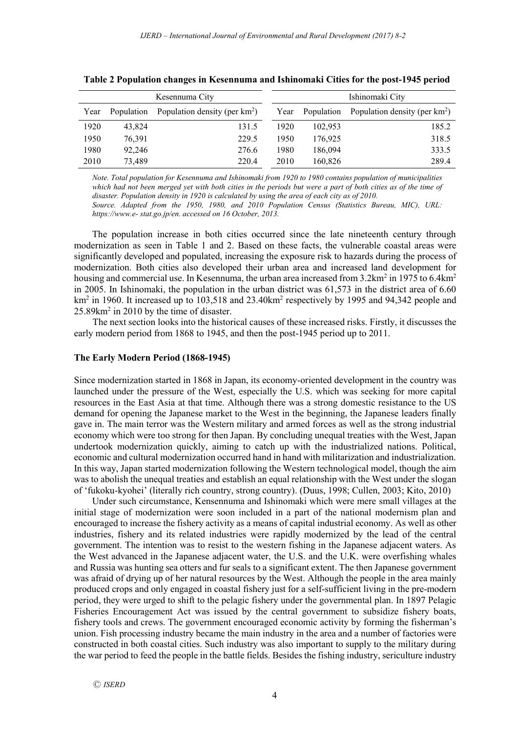| Kesennuma City |            |                                  |      | Ishinomaki City |                                             |  |
|----------------|------------|----------------------------------|------|-----------------|---------------------------------------------|--|
| Year           | Population | Population density (per $km^2$ ) | Year |                 | Population Population density (per $km^2$ ) |  |
| 1920           | 43.824     | 131.5                            | 1920 | 102,953         | 185.2                                       |  |
| 1950           | 76,391     | 229.5                            | 1950 | 176,925         | 318.5                                       |  |
| 1980           | 92.246     | 276.6                            | 1980 | 186,094         | 333.5                                       |  |
| 2010           | 73.489     | 220.4                            | 2010 | 160,826         | 289.4                                       |  |

**Table 2 Population changes in Kesennuma and Ishinomaki Cities for the post-1945 period**

*Note. Total population for Kesennuma and Ishinomaki from 1920 to 1980 contains population of municipalities*  which had not been merged yet with both cities in the periods but were a part of both cities as of the time of *disaster. Population density in 1920 is calculated by using the area of each city as of 2010.* 

*Source. Adapted from the 1950, 1980, and 2010 Population Census (Statistics Bureau, MIC), URL: https://www.e- stat.go.jp/en. accessed on 16 October, 2013.*

The population increase in both cities occurred since the late nineteenth century through modernization as seen in Table 1 and 2. Based on these facts, the vulnerable coastal areas were significantly developed and populated, increasing the exposure risk to hazards during the process of modernization. Both cities also developed their urban area and increased land development for housing and commercial use. In Kesennuma, the urban area increased from  $3.2 \text{km}^2$  in 1975 to 6.4km<sup>2</sup> in 2005. In Ishinomaki, the population in the urban district was 61,573 in the district area of 6.60  $km<sup>2</sup>$  in 1960. It increased up to 103.518 and 23.40km<sup>2</sup> respectively by 1995 and 94.342 people and 25.89km2 in 2010 by the time of disaster.

The next section looks into the historical causes of these increased risks. Firstly, it discusses the early modern period from 1868 to 1945, and then the post-1945 period up to 2011.

#### **The Early Modern Period (1868-1945)**

Since modernization started in 1868 in Japan, its economy-oriented development in the country was launched under the pressure of the West, especially the U.S. which was seeking for more capital resources in the East Asia at that time. Although there was a strong domestic resistance to the US demand for opening the Japanese market to the West in the beginning, the Japanese leaders finally gave in. The main terror was the Western military and armed forces as well as the strong industrial economy which were too strong for then Japan. By concluding unequal treaties with the West, Japan undertook modernization quickly, aiming to catch up with the industrialized nations. Political, economic and cultural modernization occurred hand in hand with militarization and industrialization. In this way, Japan started modernization following the Western technological model, though the aim was to abolish the unequal treaties and establish an equal relationship with the West under the slogan of 'fukoku-kyohei' (literally rich country, strong country). (Duus, 1998; Cullen, 2003; Kito, 2010)

Under such circumstance, Kensennuma and Ishinomaki which were mere small villages at the initial stage of modernization were soon included in a part of the national modernism plan and encouraged to increase the fishery activity as a means of capital industrial economy. As well as other industries, fishery and its related industries were rapidly modernized by the lead of the central government. The intention was to resist to the western fishing in the Japanese adjacent waters. As the West advanced in the Japanese adjacent water, the U.S. and the U.K. were overfishing whales and Russia was hunting sea otters and fur seals to a significant extent. The then Japanese government was afraid of drying up of her natural resources by the West. Although the people in the area mainly produced crops and only engaged in coastal fishery just for a self-sufficient living in the pre-modern period, they were urged to shift to the pelagic fishery under the governmental plan. In 1897 Pelagic Fisheries Encouragement Act was issued by the central government to subsidize fishery boats, fishery tools and crews. The government encouraged economic activity by forming the fisherman's union. Fish processing industry became the main industry in the area and a number of factories were constructed in both coastal cities. Such industry was also important to supply to the military during the war period to feed the people in the battle fields. Besides the fishing industry, sericulture industry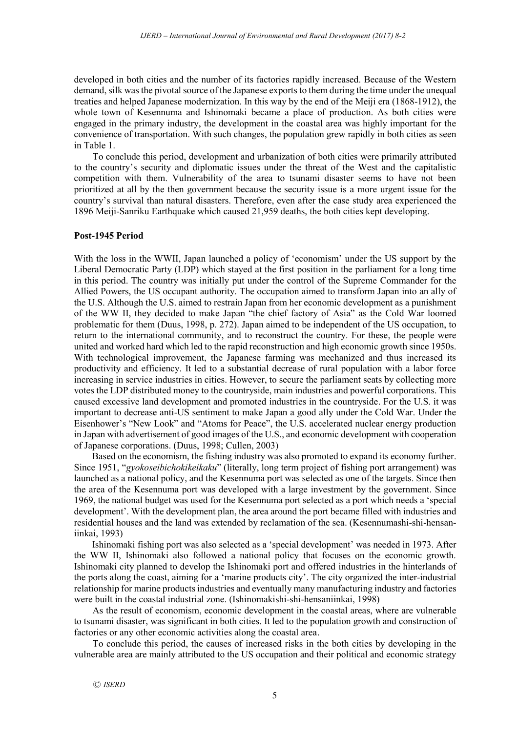developed in both cities and the number of its factories rapidly increased. Because of the Western demand, silk was the pivotal source of the Japanese exports to them during the time under the unequal treaties and helped Japanese modernization. In this way by the end of the Meiji era (1868-1912), the whole town of Kesennuma and Ishinomaki became a place of production. As both cities were engaged in the primary industry, the development in the coastal area was highly important for the convenience of transportation. With such changes, the population grew rapidly in both cities as seen in Table 1.

To conclude this period, development and urbanization of both cities were primarily attributed to the country's security and diplomatic issues under the threat of the West and the capitalistic competition with them. Vulnerability of the area to tsunami disaster seems to have not been prioritized at all by the then government because the security issue is a more urgent issue for the country's survival than natural disasters. Therefore, even after the case study area experienced the 1896 Meiji-Sanriku Earthquake which caused 21,959 deaths, the both cities kept developing.

## **Post-1945 Period**

With the loss in the WWII, Japan launched a policy of 'economism' under the US support by the Liberal Democratic Party (LDP) which stayed at the first position in the parliament for a long time in this period. The country was initially put under the control of the Supreme Commander for the Allied Powers, the US occupant authority. The occupation aimed to transform Japan into an ally of the U.S. Although the U.S. aimed to restrain Japan from her economic development as a punishment of the WW II, they decided to make Japan "the chief factory of Asia" as the Cold War loomed problematic for them (Duus, 1998, p. 272). Japan aimed to be independent of the US occupation, to return to the international community, and to reconstruct the country. For these, the people were united and worked hard which led to the rapid reconstruction and high economic growth since 1950s. With technological improvement, the Japanese farming was mechanized and thus increased its productivity and efficiency. It led to a substantial decrease of rural population with a labor force increasing in service industries in cities. However, to secure the parliament seats by collecting more votes the LDP distributed money to the countryside, main industries and powerful corporations. This caused excessive land development and promoted industries in the countryside. For the U.S. it was important to decrease anti-US sentiment to make Japan a good ally under the Cold War. Under the Eisenhower's "New Look" and "Atoms for Peace", the U.S. accelerated nuclear energy production in Japan with advertisement of good images of the U.S., and economic development with cooperation of Japanese corporations. (Duus, 1998; Cullen, 2003)

Based on the economism, the fishing industry was also promoted to expand its economy further. Since 1951, "*gyokoseibichokikeikaku*" (literally, long term project of fishing port arrangement) was launched as a national policy, and the Kesennuma port was selected as one of the targets. Since then the area of the Kesennuma port was developed with a large investment by the government. Since 1969, the national budget was used for the Kesennuma port selected as a port which needs a 'special development'. With the development plan, the area around the port became filled with industries and residential houses and the land was extended by reclamation of the sea. (Kesennumashi-shi-hensaniinkai, 1993)

Ishinomaki fishing port was also selected as a 'special development' was needed in 1973. After the WW II, Ishinomaki also followed a national policy that focuses on the economic growth. Ishinomaki city planned to develop the Ishinomaki port and offered industries in the hinterlands of the ports along the coast, aiming for a 'marine products city'. The city organized the inter-industrial relationship for marine products industries and eventually many manufacturing industry and factories were built in the coastal industrial zone. (Ishinomakishi-shi-hensaniinkai, 1998)

As the result of economism, economic development in the coastal areas, where are vulnerable to tsunami disaster, was significant in both cities. It led to the population growth and construction of factories or any other economic activities along the coastal area.

To conclude this period, the causes of increased risks in the both cities by developing in the vulnerable area are mainly attributed to the US occupation and their political and economic strategy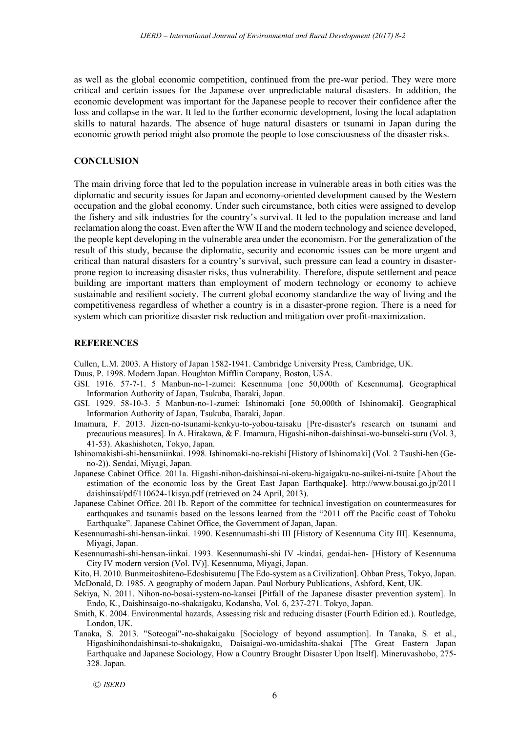as well as the global economic competition, continued from the pre-war period. They were more critical and certain issues for the Japanese over unpredictable natural disasters. In addition, the economic development was important for the Japanese people to recover their confidence after the loss and collapse in the war. It led to the further economic development, losing the local adaptation skills to natural hazards. The absence of huge natural disasters or tsunami in Japan during the economic growth period might also promote the people to lose consciousness of the disaster risks.

## **CONCLUSION**

The main driving force that led to the population increase in vulnerable areas in both cities was the diplomatic and security issues for Japan and economy-oriented development caused by the Western occupation and the global economy. Under such circumstance, both cities were assigned to develop the fishery and silk industries for the country's survival. It led to the population increase and land reclamation along the coast. Even after the WW II and the modern technology and science developed, the people kept developing in the vulnerable area under the economism. For the generalization of the result of this study, because the diplomatic, security and economic issues can be more urgent and critical than natural disasters for a country's survival, such pressure can lead a country in disasterprone region to increasing disaster risks, thus vulnerability. Therefore, dispute settlement and peace building are important matters than employment of modern technology or economy to achieve sustainable and resilient society. The current global economy standardize the way of living and the competitiveness regardless of whether a country is in a disaster-prone region. There is a need for system which can prioritize disaster risk reduction and mitigation over profit-maximization.

#### **REFERENCES**

Cullen, L.M. 2003. A History of Japan 1582-1941. Cambridge University Press, Cambridge, UK.

- Duus, P. 1998. Modern Japan. Houghton Mifflin Company, Boston, USA.
- GSI. 1916. 57-7-1. 5 Manbun-no-1-zumei: Kesennuma [one 50,000th of Kesennuma]. Geographical Information Authority of Japan, Tsukuba, Ibaraki, Japan.
- GSI. 1929. 58-10-3. 5 Manbun-no-1-zumei: Ishinomaki [one 50,000th of Ishinomaki]. Geographical Information Authority of Japan, Tsukuba, Ibaraki, Japan.
- Imamura, F. 2013. Jizen-no-tsunami-kenkyu-to-yobou-taisaku [Pre-disaster's research on tsunami and precautious measures]. In A. Hirakawa, & F. Imamura, Higashi-nihon-daishinsai-wo-bunseki-suru (Vol. 3, 41-53). Akashishoten, Tokyo, Japan.
- Ishinomakishi-shi-hensaniinkai. 1998. Ishinomaki-no-rekishi [History of Ishinomaki] (Vol. 2 Tsushi-hen (Geno-2)). Sendai, Miyagi, Japan.
- Japanese Cabinet Office. 2011a. Higashi-nihon-daishinsai-ni-okeru-higaigaku-no-suikei-ni-tsuite [About the estimation of the economic loss by the Great East Japan Earthquake]. http://www.bousai.go.jp/2011 daishinsai/pdf/110624-1kisya.pdf (retrieved on 24 April, 2013).
- Japanese Cabinet Office. 2011b. Report of the committee for technical investigation on countermeasures for earthquakes and tsunamis based on the lessons learned from the "2011 off the Pacific coast of Tohoku Earthquake". Japanese Cabinet Office, the Government of Japan, Japan.
- Kesennumashi-shi-hensan-iinkai. 1990. Kesennumashi-shi III [History of Kesennuma City III]. Kesennuma, Miyagi, Japan.
- Kesennumashi-shi-hensan-iinkai. 1993. Kesennumashi-shi IV -kindai, gendai-hen- [History of Kesennuma City IV modern version (Vol. IV)]. Kesennuma, Miyagi, Japan.
- Kito, H. 2010. Bunmeitoshiteno-Edoshisutemu [The Edo-system as a Civilization]. Ohban Press, Tokyo, Japan. McDonald, D. 1985. A geography of modern Japan. Paul Norbury Publications, Ashford, Kent, UK.
- Sekiya, N. 2011. Nihon-no-bosai-system-no-kansei [Pitfall of the Japanese disaster prevention system]. In Endo, K., Daishinsaigo-no-shakaigaku, Kodansha, Vol. 6, 237-271. Tokyo, Japan.
- Smith, K. 2004. Environmental hazards, Assessing risk and reducing disaster (Fourth Edition ed.). Routledge, London, UK.
- Tanaka, S. 2013. "Soteogai"-no-shakaigaku [Sociology of beyond assumption]. In Tanaka, S. et al., Higashinihondaishinsai-to-shakaigaku, Daisaigai-wo-umidashita-shakai [The Great Eastern Japan Earthquake and Japanese Sociology, How a Country Brought Disaster Upon Itself]. Mineruvashobo, 275- 328. Japan.

Ⓒ *ISERD*